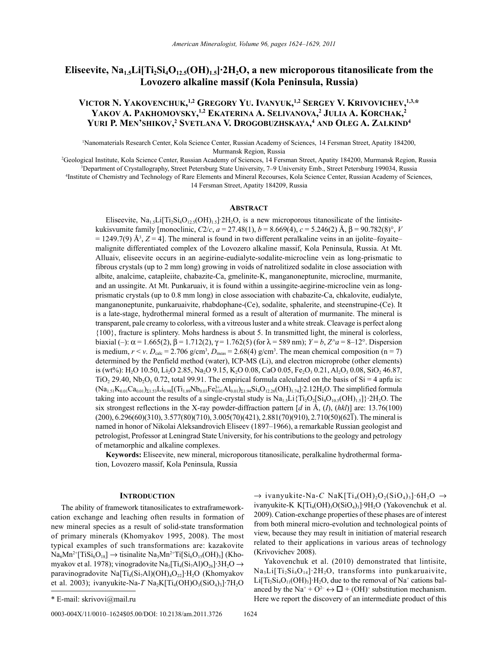# **Eliseevite, Na1.5Li[Ti2Si4O12.5(OH)1.5]∙2H2O, a new microporous titanosilicate from the Lovozero alkaline massif (Kola Peninsula, Russia)**

# VICTOR N. YAKOVENCHUK,<sup>1,2</sup> GREGORY YU. IVANYUK,<sup>1,2</sup> SERGEY V. KRIVOVICHEV,<sup>1,3,\*</sup> **YakoV a. PakhomoVSkY, 1,2 ekateriNa a. SeliVaNoVa, 2 Julia a. korchak, 2 Yuri P. meN'ShikoV, 2 SVetlaNa V. DroGobuzhSkaYa, <sup>4</sup> aND oleG a. zalkiND4**

1 Nanomaterials Research Center, Kola Science Center, Russian Academy of Sciences, 14 Fersman Street, Apatity 184200, Murmansk Region, Russia

2 Geological Institute, Kola Science Center, Russian Academy of Sciences, 14 Fersman Street, Apatity 184200, Murmansk Region, Russia <sup>3</sup>Department of Crystallography, Street Petersburg State University, 7–9 University Emb., Street Petersburg 199034, Russia 4-<br><sup>4</sup>Institute of Chemistry and Technology of Rare Elements and Mineral Recourses. Kola Science C Institute of Chemistry and Technology of Rare Elements and Mineral Recourses, Kola Science Center, Russian Academy of Sciences, 14 Fersman Street, Apatity 184209, Russia

## **ABSTRACT**

Eliseevite, Na<sub>1.5</sub>Li[Ti<sub>2</sub>Si<sub>4</sub>O<sub>12.5</sub>(OH)<sub>1.5</sub>]∙2H<sub>2</sub>O, is a new microporous titanosilicate of the lintisitekukisvumite family [monoclinic, *C*2/*c*, *a* = 27.48(1), *b* = 8.669(4), *c* = 5.246(2) Å, β = 90.782(8)°, *V*  $= 1249.7(9)$  Å<sup>3</sup>,  $Z = 4$ ]. The mineral is found in two different peralkaline veins in an ijolite–foyaite– malignite differentiated complex of the Lovozero alkaline massif, Kola Peninsula, Russia. At Mt. Alluaiv, eliseevite occurs in an aegirine-eudialyte-sodalite-microcline vein as long-prismatic to fibrous crystals (up to 2 mm long) growing in voids of natrolitized sodalite in close association with albite, analcime, catapleiite, chabazite-Ca, gmelinite-K, manganoneptunite, microcline, murmanite, and an ussingite. At Mt. Punkaruaiv, it is found within a ussingite-aegirine-microcline vein as longprismatic crystals (up to 0.8 mm long) in close association with chabazite-Ca, chkalovite, eudialyte, manganoneptunite, punkaruaivite, rhabdophane-(Ce), sodalite, sphalerite, and steenstrupine-(Ce). It is a late-stage, hydrothermal mineral formed as a result of alteration of murmanite. The mineral is transparent, pale creamy to colorless, with a vitreous luster and a white streak. Cleavage is perfect along {100}, fracture is splintery. Mohs hardness is about 5. In transmitted light, the mineral is colorless, biaxial (–):  $\alpha$  = 1.665(2),  $\beta$  = 1.712(2),  $\gamma$  = 1.762(5) (for  $\lambda$  = 589 nm); *Y* = *b*, *Z*<sup> $\alpha$  = 8–12°. Dispersion</sup> is medium,  $r < v$ .  $D_{\text{calc}} = 2.706 \text{ g/cm}^3$ ,  $D_{\text{meas}} = 2.68(4) \text{ g/cm}^3$ . The mean chemical composition (n = 7) determined by the Penfield method (water), ICP-MS (Li), and electron microprobe (other elements) is (wt%): H<sub>2</sub>O 10.50, Li<sub>2</sub>O 2.85, Na<sub>2</sub>O 9.15, K<sub>2</sub>O 0.08, CaO 0.05, Fe<sub>2</sub>O<sub>3</sub> 0.21, Al<sub>2</sub>O<sub>3</sub> 0.08, SiO<sub>2</sub> 46.87, TiO<sub>2</sub> 29.40, Nb<sub>2</sub>O<sub>5</sub> 0.72, total 99.91. The empirical formula calculated on the basis of Si = 4 apfu is:  $(Na_{1.51}K_{0.01}Ca_{0.01})_{\Sigma1.53}Li_{0.98}[(Ti_{1.89}Nb_{0.03}Fe_{0.01}^{3}A1_{0.01})_{\Sigma1.94}Si_4O_{12.26}(OH)_{1.74}]<sup>2</sup>.12H_2O.$  The simplified formula taking into account the results of a single-crystal study is  $Na<sub>1.5</sub>Li<sub>1</sub>Ti<sub>2</sub>O<sub>2</sub>[Si<sub>4</sub>O<sub>10.5</sub>(OH)<sub>1.5</sub>]}<sup>2</sup>H<sub>2</sub>O$ . The six strongest reflections in the X-ray powder-diffraction pattern [*d* in Å, (*I*), (*hkl*)] are: 13.76(100) (200), 6.296(60)(310), 3.577(80)(710), 3.005(70)(421), 2.881(70)(910), 2.710(50)(621). The mineral is named in honor of Nikolai Aleksandrovich Eliseev (1897–1966), a remarkable Russian geologist and petrologist, Professor at Leningrad State University, for his contributions to the geology and petrology of metamorphic and alkaline complexes.

**Keywords:** Eliseevite, new mineral, microporous titanosilicate, peralkaline hydrothermal formation, Lovozero massif, Kola Peninsula, Russia

# **INTRODUCTION**

The ability of framework titanosilicates to extraframeworkcation exchange and leaching often results in formation of new mineral species as a result of solid-state transformation of primary minerals (Khomyakov 1995, 2008). The most typical examples of such transformations are: kazakovite  $Na_6Mn^{2+}[TiSi_6O_{18}] \rightarrow$  tisinalite  $Na_3Mn^{2+}[Ti[Si_6O_{15}(OH)_3]$  (Khomyakov et al. 1978); vinogradovite Na<sub>5</sub>[Ti<sub>4</sub>(Si<sub>7</sub>Al)O<sub>26</sub>]∙3H<sub>2</sub>O → paravinogradovite Na[Ti<sub>4</sub>(Si<sub>7</sub>Al)(OH)<sub>4</sub>O<sub>22</sub>]∙H<sub>2</sub>O (Khomyakov et al. 2003); ivanyukite-Na-*T* Na<sub>2</sub>K[Ti<sub>4</sub>(OH)O<sub>3</sub>(SiO<sub>4</sub>)<sub>3</sub>]∙7H<sub>2</sub>O

0003-004X/11/0010-1624\$05.00/DOI: 10.2138/am.2011.3726 1624

→ ivanyukite-Na-*C* NaK[Ti<sub>4</sub>(OH)<sub>2</sub>O<sub>2</sub>(SiO<sub>4</sub>)<sub>3</sub>]⋅6H<sub>2</sub>O → ivanyukite-K K[Ti4(OH)3O(SiO4)3]∙9H2O (Yakovenchuk et al. 2009). Cation-exchange properties of these phases are of interest from both mineral micro-evolution and technological points of view, because they may result in initiation of material research related to their applications in various areas of technology (Krivovichev 2008).

Yakovenchuk et al. (2010) demonstrated that lintisite, Na<sub>3</sub>Li[Ti<sub>2</sub>Si<sub>4</sub>O<sub>14</sub>]∙2H<sub>2</sub>O, transforms into punkaruaivite, Li[Ti<sub>2</sub>Si<sub>4</sub>O<sub>11</sub>(OH)<sub>3</sub>]⋅H<sub>2</sub>O, due to the removal of Na<sup>+</sup> cations balanced by the Na<sup>+</sup> + O<sup>2–</sup>  $\leftrightarrow$   $\Box$  + (OH)<sup>–</sup> substitution mechanism. \* E-mail: skrivovi@mail.ru Here we report the discovery of an intermediate product of this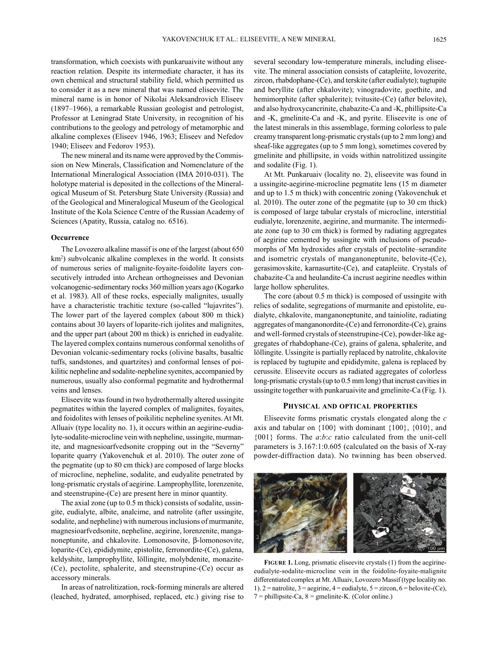transformation, which coexists with punkaruaivite without any reaction relation. Despite its intermediate character, it has its own chemical and structural stability field, which permitted us to consider it as a new mineral that was named eliseevite. The mineral name is in honor of Nikolai Aleksandrovich Eliseev (1897–1966), a remarkable Russian geologist and petrologist, Professor at Leningrad State University, in recognition of his contributions to the geology and petrology of metamorphic and alkaline complexes (Eliseev 1946, 1963; Eliseev and Nefedov 1940; Eliseev and Fedorov 1953).

The new mineral and its name were approved by the Commission on New Minerals, Classification and Nomenclature of the International Mineralogical Association (IMA 2010-031). The holotype material is deposited in the collections of the Mineralogical Museum of St. Petersburg State University (Russia) and of the Geological and Mineralogical Museum of the Geological Institute of the Kola Science Centre of the Russian Academy of Sciences (Apatity, Russia, catalog no. 6516).

## **Occurrence**

The Lovozero alkaline massif is one of the largest (about 650 km2 ) subvolcanic alkaline complexes in the world. It consists of numerous series of malignite-foyaite-foidolite layers consecutively intruded into Archean orthogneisses and Devonian volcanogenic-sedimentary rocks 360 million years ago (Kogarko et al. 1983). All of these rocks, especially malignites, usually have a characteristic trachitic texture (so-called "lujavrites"). The lower part of the layered complex (about 800 m thick) contains about 30 layers of loparite-rich ijolites and malignites, and the upper part (about 200 m thick) is enriched in eudyalite. The layered complex contains numerous conformal xenoliths of Devonian volcanic-sedimentary rocks (olivine basalts, basaltic tuffs, sandstones, and quartzites) and conformal lenses of poikilitic nepheline and sodalite-nepheline syenites, accompanied by numerous, usually also conformal pegmatite and hydrothermal veins and lenses.

Eliseevite was found in two hydrothermally altered ussingite pegmatites within the layered complex of malignites, foyaites, and foidolites with lenses of poikilitic nepheline syenites. At Mt. Alluaiv (type locality no. 1), it occurs within an aegirine-eudialyte-sodalite-microcline vein with nepheline, ussingite, murmanite, and magnesioarfvedsonite cropping out in the "Severny" loparite quarry (Yakovenchuk et al. 2010). The outer zone of the pegmatite (up to 80 cm thick) are composed of large blocks of microcline, nepheline, sodalite, and eudyalite penetrated by long-prismatic crystals of aegirine. Lamprophyllite, lorenzenite, and steenstrupine-(Ce) are present here in minor quantity.

The axial zone (up to 0.5 m thick) consists of sodalite, ussingite, eudialyte, albite, analcime, and natrolite (after ussingite, sodalite, and nepheline) with numerous inclusions of murmanite, magnesioarfvedsonite, nepheline, aegirine, lorenzenite, manganoneptunite, and chkalovite. Lomonosovite, β-lomonosovite, loparite-(Ce), epididymite, epistolite, ferronordite-(Ce), galena, keldyshite, lamprophyllite, löllingite, molybdenite, monazite- (Ce), pectolite, sphalerite, and steenstrupine-(Ce) occur as accessory minerals.

In areas of natrolitization, rock-forming minerals are altered (leached, hydrated, amorphised, replaced, etc.) giving rise to several secondary low-temperature minerals, including eliseevite. The mineral association consists of catapleiite, lovozerite, zircon, rhabdophane-(Ce), and terskite (after eudialyte); tugtupite and beryllite (after chkalovite); vinogradovite, goethite, and hemimorphite (after sphalerite); tvitusite-(Ce) (after belovite), and also hydroxycancrinite, chabazite-Ca and -K, phillipsite-Ca and -K, gmelinite-Ca and -K, and pyrite. Eliseevite is one of the latest minerals in this assemblage, forming colorless to pale creamy transparent long-prismatic crystals (up to 2 mm long) and sheaf-like aggregates (up to 5 mm long), sometimes covered by gmelinite and phillipsite, in voids within natrolitized ussingite and sodalite (Fig. 1).

At Mt. Punkaruaiv (locality no. 2), eliseevite was found in a ussingite-aegirine-microcline pegmatite lens (15 m diameter and up to 1.5 m thick) with concentric zoning (Yakovenchuk et al. 2010). The outer zone of the pegmatite (up to 30 cm thick) is composed of large tabular crystals of microcline, interstitial eudialyte, lorenzenite, aegirine, and murmanite. The intermediate zone (up to 30 cm thick) is formed by radiating aggregates of aegirine cemented by ussingite with inclusions of pseudomorphs of Mn hydroxides after crystals of pectolite–serandite and isometric crystals of manganoneptunite, belovite-(Ce), gerasimovskite, karnasurtite-(Ce), and catapleiite. Crystals of chabazite-Ca and heulandite-Ca incrust aegirine needles within large hollow spherulites.

The core (about 0.5 m thick) is composed of ussingite with relics of sodalite, segregations of murmanite and epistolite, eudialyte, chkalovite, manganoneptunite, and tainiolite, radiating aggregates of manganonordite-(Ce) and ferronordite-(Ce), grains and well-formed crystals of steenstrupine-(Ce), powder-like aggregates of rhabdophane-(Ce), grains of galena, sphalerite, and löllingite. Ussingite is partially replaced by natrolite, chkalovite is replaced by tugtupite and epididymite, galena is replaced by cerussite. Eliseevite occurs as radiated aggregates of colorless long-prismatic crystals (up to 0.5 mm long) that incrust cavities in ussingite together with punkaruaivite and gmelinite-Ca (Fig. 1).

## **PhYSical aND oPtical ProPertieS**

Eliseevite forms prismatic crystals elongated along the *c* axis and tabular on {100} with dominant {100}, {010}, and {001} forms. The *a*:*b*:*c* ratio calculated from the unit-cell parameters is 3.167:1:0.605 (calculated on the basis of X-ray powder-diffraction data). No twinning has been observed.



**FiGure 1.** Long, prismatic eliseevite crystals (1) from the aegirineeudialyte-sodalite-microcline vein in the foidolite-foyaite-malignite differentiated complex at Mt. Alluaiv, Lovozero Massif (type locality no. 1).  $2 =$  natrolite,  $3 =$  aegirine,  $4 =$  eudialyte,  $5 =$  zircon,  $6 =$  belovite-(Ce),  $7 =$  phillipsite-Ca,  $8 =$  gmelinite-K. (Color online.)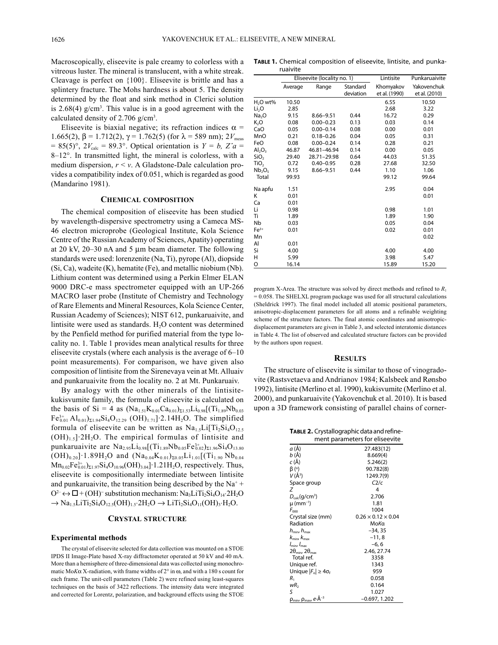Macroscopically, eliseevite is pale creamy to colorless with a vitreous luster. The mineral is translucent, with a white streak. Cleavage is perfect on {100}. Eliseevite is brittle and has a splintery fracture. The Mohs hardness is about 5. The density determined by the float and sink method in Clerici solution is  $2.68(4)$  g/cm<sup>3</sup>. This value is in a good agreement with the calculated density of 2.706  $g/cm<sup>3</sup>$ .

Eliseevite is biaxial negative; its refraction indices  $\alpha$  = 1.665(2), β = 1.712(2),  $\gamma$  = 1.762(5) (for  $\lambda$  = 589 nm); 2*V*<sub>meas</sub>  $= 85(5)$ °,  $2V_{\text{calc}} = 89.3$ °. Optical orientation is  $Y = b$ ,  $Z\hat{a} =$ 8–12°. In transmitted light, the mineral is colorless, with a medium dispersion, *r* < *v*. A Gladstone-Dale calculation provides a compatibility index of 0.051, which is regarded as good (Mandarino 1981).

## **chemical comPoSitioN**

The chemical composition of eliseevite has been studied by wavelength-dispersive spectrometry using a Cameca MS-46 electron microprobe (Geological Institute, Kola Science Centre of the Russian Academy of Sciences, Apatity) operating at 20 kV, 20–30 nA and 5 µm beam diameter. The following standards were used: lorenzenite (Na, Ti), pyrope (Al), diopside (Si, Ca), wadeite (K), hematite (Fe), and metallic niobium (Nb). Lithium content was determined using a Perkin Elmer ELAN 9000 DRC-e mass spectrometer equipped with an UP-266 MACRO laser probe (Institute of Chemistry and Technology of Rare Elements and Mineral Resources, Kola Science Center, Russian Academy of Sciences); NIST 612, punkaruaivite, and lintisite were used as standards. H<sub>2</sub>O content was determined by the Penfield method for purified material from the type locality no. 1. Table 1 provides mean analytical results for three eliseevite crystals (where each analysis is the average of 6–10 point measurements). For comparison, we have given also composition of lintisite from the Sirenevaya vein at Mt. Alluaiv and punkaruaivite from the locality no. 2 at Mt. Punkaruaiv.

By analogy with the other minerals of the lintisitekukisvumite family, the formula of eliseevite is calculated on the basis of Si = 4 as  $(Na_{1.51}K_{0.01}Ca_{0.01})_{\Sigma1.53}Li_{0.98}[(Ti_{1.89}Nb_{0.03}]$  $Fe_{0.01}^{3+}Al_{0.01}$ <sub> $\Sigma1.94$ </sub> $Si_4O_{12.29}$  (OH)<sub>1.71</sub>]⋅2.14H<sub>2</sub>O. The simplified formula of eliseevite can be written as  $Na<sub>1.5</sub>Li[Ti<sub>2</sub>Si<sub>4</sub>O<sub>12.5</sub>$  $(OH)_{1.5}$ ]∙2H<sub>2</sub>O. The empirical formulas of lintisite and punkaruaivite are  ${\rm Na}_{2.95} {\rm Li}_{0.98}$ [(Ti<sub>1.89</sub>Nb<sub>0.05</sub>Fe<sup>3+</sup><sub>0.02</sub>)<sub>Σ1.96</sub>Si<sub>4</sub>O<sub>13.80</sub>  $(OH)_{0.20}$ ]∙1.89H<sub>2</sub>O and  $(Na_{0.04}K_{0.01})_{\Sigma 0.05}Li_{1.01}[(Ti_{1.90}Nb_{0.04}$  $Mn_{0.02}Fe_{0.01}^{3+}$  $\Sigma_{1.97}Si_4O_{10.96}(OH)_{3.04}$  $\cdot$  1.21H<sub>2</sub>O, respectively. Thus, eliseevite is compositionally intermediate between lintisite and punkaruaivite, the transition being described by the  $Na<sup>+</sup>$ +  $O^2$   $\leftrightarrow$   $\Box$  + (OH)<sup>-</sup> substitution mechanism: Na<sub>3</sub>LiTi<sub>2</sub>Si<sub>4</sub>O<sub>14</sub>⋅2H<sub>2</sub>O  $\rightarrow$  Na<sub>1.5</sub>LiTi<sub>2</sub>Si<sub>4</sub>O<sub>12.5</sub>(OH)<sub>1.5</sub>⋅2H<sub>2</sub>O  $\rightarrow$  LiTi<sub>2</sub>Si<sub>4</sub>O<sub>11</sub>(OH)<sub>3</sub>⋅H<sub>2</sub>O.

## **crYStal Structure**

## **Experimental methods**

The crystal of eliseevite selected for data collection was mounted on a STOE IPDS II Image-Plate based X-ray diffractometer operated at 50 kV and 40 mA. More than a hemisphere of three-dimensional data was collected using monochromatic Mo*K*α X-radiation, with frame widths of 2° in ω, and with a 180 s count for each frame. The unit-cell parameters (Table 2) were refined using least-squares techniques on the basis of 3422 reflections. The intensity data were integrated and corrected for Lorentz, polarization, and background effects using the STOE

**Table 1.** Chemical composition of eliseevite, lintisite, and punkaruaivite

|                                | Eliseevite (locality no. 1) |               |           | Lintisite     | Punkaruaivite |
|--------------------------------|-----------------------------|---------------|-----------|---------------|---------------|
|                                | Average                     | Range         | Standard  | Khomyakov     | Yakovenchuk   |
|                                |                             |               | deviation | et al. (1990) | et al. (2010) |
| H <sub>2</sub> O wt%           | 10.50                       |               |           | 6.55          | 10.50         |
| Li <sub>2</sub> O              | 2.85                        |               |           | 2.68          | 3.22          |
| Na <sub>2</sub> O              | 9.15                        | $8.66 - 9.51$ | 0.44      | 16.72         | 0.29          |
| $K_2O$                         | 0.08                        | $0.00 - 0.23$ | 0.13      | 0.03          | 0.14          |
| CaO                            | 0.05                        | $0.00 - 0.14$ | 0.08      | 0.00          | 0.01          |
| MnO                            | 0.21                        | $0.18 - 0.26$ | 0.04      | 0.05          | 0.31          |
| FeO                            | 0.08                        | $0.00 - 0.24$ | 0.14      | 0.28          | 0.21          |
| $Al_2O_3$                      | 46.87                       | 46.81-46.94   | 0.14      | 0.00          | 0.05          |
| SiO <sub>2</sub>               | 29.40                       | 28.71-29.98   | 0.64      | 44.03         | 51.35         |
| TiO <sub>2</sub>               | 0.72                        | $0.40 - 0.95$ | 0.28      | 27.68         | 32.50         |
| Nb <sub>2</sub> O <sub>5</sub> | 9.15                        | $8.66 - 9.51$ | 0.44      | 1.10          | 1.06          |
| Total                          | 99.93                       |               |           | 99.12         | 99.64         |
| Na apfu                        | 1.51                        |               |           | 2.95          | 0.04          |
| Κ                              | 0.01                        |               |           |               | 0.01          |
| Ca                             | 0.01                        |               |           |               |               |
| Li                             | 0.98                        |               |           | 0.98          | 1.01          |
| Ti                             | 1.89                        |               |           | 1.89          | 1.90          |
| Nb                             | 0.03                        |               |           | 0.05          | 0.04          |
| $Fe3+$                         | 0.01                        |               |           | 0.02          | 0.01          |
| Mn                             |                             |               |           |               | 0.02          |
| Al                             | 0.01                        |               |           |               |               |
| Si                             | 4.00                        |               |           | 4.00          | 4.00          |
| н                              | 5.99                        |               |           | 3.98          | 5.47          |
| O                              | 16.14                       |               |           | 15.89         | 15.20         |

program X-Area. The structure was solved by direct methods and refined to *R*<sup>1</sup> = 0.058. The SHELXL program package was used for all structural calculations (Sheldrick 1997). The final model included all atomic positional parameters, anisotropic-displacement parameters for all atoms and a refinable weighting scheme of the structure factors. The final atomic coordinates and anisotropicdisplacement parameters are given in Table 3, and selected interatomic distances in Table 4. The list of observed and calculated structure factors can be provided by the authors upon request.

#### **reSultS**

The structure of eliseevite is similar to those of vinogradovite (Rastsvetaeva and Andrianov 1984; Kalsbeek and Rønsbo 1992), lintisite (Merlino et al. 1990), kukisvumite (Merlino et al. 2000), and punkaruaivite (Yakovenchuk et al. 2010). It is based upon a 3D framework consisting of parallel chains of corner-

| <b>TABLE 2.</b> Crystallographic data and refine-<br>ment parameters for eliseevite |                                |  |  |  |
|-------------------------------------------------------------------------------------|--------------------------------|--|--|--|
| a (Å)                                                                               | 27.483(12)                     |  |  |  |
| b (Å)                                                                               | 8.669(4)                       |  |  |  |
| c (Å)                                                                               | 5.246(2)                       |  |  |  |
| β (°)                                                                               | 90.782(8)                      |  |  |  |
| V (Å <sup>3</sup> )                                                                 | 1249.7(9)                      |  |  |  |
| Space group                                                                         | C <sub>2/c</sub>               |  |  |  |
| Ζ                                                                                   | 4                              |  |  |  |
| $D_{calc}$ (g/cm <sup>3</sup> )                                                     | 2.706                          |  |  |  |
| $\mu$ (mm <sup>-1</sup> )                                                           | 1.81                           |  |  |  |
| $F_{\alpha\alpha}$                                                                  | 1004                           |  |  |  |
| Crystal size (mm)                                                                   | $0.26 \times 0.12 \times 0.04$ |  |  |  |
| Radiation                                                                           | МοΚα                           |  |  |  |
| $h_{\min}$ , $h_{\max}$                                                             | $-34, 35$                      |  |  |  |
| $k_{\rm min}$ , $k_{\rm max}$                                                       | $-11,8$                        |  |  |  |
| $I_{\min}, I_{\max}$                                                                | $-6, 6$                        |  |  |  |
| $2\theta_{\min}$ , $2\theta_{\max}$                                                 | 2.46, 27.74                    |  |  |  |
| Total ref                                                                           | 3358                           |  |  |  |
| Unique ref.                                                                         | 1343                           |  |  |  |
| Unique $ F_{\rm o}  \geq 4\sigma_{\rm F}$                                           | 959                            |  |  |  |
| $R_{1}$                                                                             | 0.058                          |  |  |  |
| wR,                                                                                 | 0.164                          |  |  |  |
| ς                                                                                   | 1.027                          |  |  |  |
| $\rho_{\text{min}}$ , $\rho_{\text{max}}$ , $e \cdot \mathring{\mathsf{A}}^{-3}$    | –0.697, 1.202                  |  |  |  |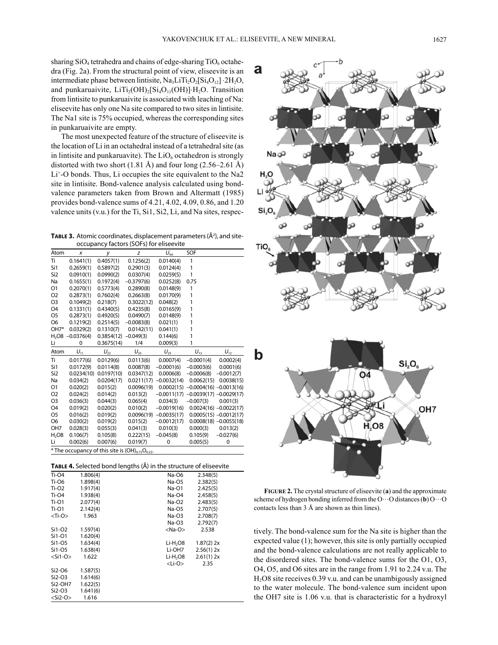sharing  $SiO<sub>4</sub>$  tetrahedra and chains of edge-sharing  $TiO<sub>6</sub>$  octahedra (Fig. 2a). From the structural point of view, eliseevite is an intermediate phase between lintisite, Na<sub>3</sub>LiTi<sub>2</sub>O<sub>2</sub>[Si<sub>4</sub>O<sub>12</sub>] ⋅2H<sub>2</sub>O, and punkaruaivite,  $LiTi<sub>2</sub>(OH)<sub>2</sub>[Si<sub>4</sub>O<sub>11</sub>(OH)]·H<sub>2</sub>O$ . Transition from lintisite to punkaruaivite is associated with leaching of Na: eliseevite has only one Na site compared to two sites in lintisite. The Na1 site is 75% occupied, whereas the corresponding sites in punkaruaivite are empty.

The most unexpected feature of the structure of eliseevite is the location of Li in an octahedral instead of a tetrahedral site (as in lintisite and punkaruavite). The  $LiO<sub>6</sub>$  octahedron is strongly distorted with two short  $(1.81 \text{ Å})$  and four long  $(2.56-2.61 \text{ Å})$ Li+-O bonds. Thus, Li occupies the site equivalent to the Na2 site in lintisite. Bond-valence analysis calculated using bondvalence parameters taken from Brown and Altermatt (1985) provides bond-valence sums of 4.21, 4.02, 4.09, 0.86, and 1.20 valence units (v.u.) for the Ti, Si1, Si2, Li, and Na sites, respec-

**TABLE 3.** Atomic coordinates, displacement parameters (Å<sup>2</sup>), and siteoccupancy factors (SOFs) for eliseevite

| Atom            | x                                                       | у          | z            | $U_{\rm iso}$ | SOF                                  |                           |  |  |
|-----------------|---------------------------------------------------------|------------|--------------|---------------|--------------------------------------|---------------------------|--|--|
| Ti              | 0.1641(1)                                               | 0.4057(1)  | 0.1256(2)    | 0.0140(4)     | 1                                    |                           |  |  |
| Si1             | 0.2659(1)                                               | 0.5897(2)  | 0.2901(3)    | 0.0124(4)     | 1                                    |                           |  |  |
| Si <sub>2</sub> | 0.0910(1)                                               | 0.0990(2)  | 0.0307(4)    | 0.0259(5)     | 1                                    |                           |  |  |
| Na              | 0.1655(1)                                               | 0.1972(4)  | $-0.3797(6)$ | 0.0252(8)     | 0.75                                 |                           |  |  |
| O1              | 0.2070(1)                                               | 0.5773(4)  | 0.2890(8)    | 0.0148(9)     | 1                                    |                           |  |  |
| O <sub>2</sub>  | 0.2873(1)                                               | 0.7602(4)  | 0.2663(8)    | 0.0170(9)     | 1                                    |                           |  |  |
| O <sub>3</sub>  | 0.1049(2)                                               | 0.218(7)   | 0.3022(12)   | 0.048(2)      | 1                                    |                           |  |  |
| O <sub>4</sub>  | 0.1331(1)                                               | 0.4340(5)  | 0.4235(8)    | 0.0165(9)     | 1                                    |                           |  |  |
| O5              | 0.2873(1)                                               | 0.4920(5)  | 0.0490(7)    | 0.0148(9)     | 1                                    |                           |  |  |
| O <sub>6</sub>  | 0.1219(2)                                               | 0.2514(5)  | $-0.0083(8)$ | 0.021(1)      | 1                                    |                           |  |  |
| OH7*            | 0.0329(2)                                               | 0.1310(7)  | 0.0142(11)   | 0.041(1)      | 1                                    |                           |  |  |
|                 | $H2$ O8 -0.0376(4)                                      | 0.3854(12) | $-0.049(3)$  | 0.144(6)      | 1                                    |                           |  |  |
| Li              | 0                                                       | 0.3675(14) | 1/4          | 0.009(3)      | 1                                    |                           |  |  |
| Atom            | $U_{11}$                                                | $U_{22}$   | $U_{33}$     | $U_{23}$      | $U_{13}$                             | $U_{12}$                  |  |  |
| Ti              | 0.0177(6)                                               | 0.0129(6)  | 0.0113(6)    | 0.0007(4)     | $-0.0001(4)$                         | 0.0002(4)                 |  |  |
| Si1             | 0.0172(9)                                               | 0.0114(8)  | 0.0087(8)    | $-0.0001(6)$  | $-0.0003(6)$                         | 0.0001(6)                 |  |  |
| Si <sub>2</sub> | 0.0234(10)                                              | 0.0197(10) | 0.0347(12)   | 0.0006(8)     | $-0.0006(8)$                         | $-0.0012(7)$              |  |  |
| Na              | 0.034(2)                                                | 0.0204(17) | 0.0211(17)   | $-0.0032(14)$ | 0.0062(15)                           | 0.0038(15)                |  |  |
| O1              | 0.020(2)                                                | 0.015(2)   | 0.0096(19)   |               | $0.0002(15) -0.0004(16) -0.0013(16)$ |                           |  |  |
| O <sub>2</sub>  | 0.024(2)                                                | 0.014(2)   | 0.013(2)     | $-0.0011(17)$ |                                      | $-0.0039(17) -0.0029(17)$ |  |  |
| O <sub>3</sub>  | 0.036(3)                                                | 0.044(3)   | 0.065(4)     | 0.034(3)      | $-0.007(3)$                          | 0.001(3)                  |  |  |
| O <sub>4</sub>  | 0.019(2)                                                | 0.020(2)   | 0.010(2)     | $-0.0019(16)$ |                                      | $0.0024(16) -0.0022(17)$  |  |  |
| O <sub>5</sub>  | 0.016(2)                                                | 0.019(2)   | 0.0096(19)   | $-0.0035(17)$ |                                      | $0.0005(15) -0.0012(17)$  |  |  |
| O <sub>6</sub>  | 0.030(2)                                                | 0.019(2)   | 0.015(2)     | $-0.0012(17)$ |                                      | $0.0008(18) -0.0055(18)$  |  |  |
| OH <sub>7</sub> | 0.028(3)                                                | 0.055(3)   | 0.041(3)     | 0.010(3)      | 0.000(3)                             | 0.013(2)                  |  |  |
| $H2$ O8         | 0.106(7)                                                | 0.105(8)   | 0.222(15)    | $-0.045(8)$   | 0.105(9)                             | $-0.027(6)$               |  |  |
| Li              | 0.002(6)                                                | 0.007(6)   | 0.019(7)     | 0             | 0.005(5)                             | 0                         |  |  |
|                 | * The occupancy of this site is $(OH)_{0.75}O_{0.25}$ . |            |              |               |                                      |                           |  |  |

**Table 4.** Selected bond lengths (Å) in the structure of eliseevite

| Ti-04         | 1.806(4) | Na-06                | 2.348(5)     |  |
|---------------|----------|----------------------|--------------|--|
| Ti-06         | 1.898(4) | Na-O5                | 2.382(5)     |  |
| $Ti-O2$       | 1.917(4) | Na-01                | 2.425(5)     |  |
| <b>Ti-04</b>  | 1.938(4) | $Na-O4$              | 2.458(5)     |  |
| $Ti-O1$       | 2.077(4) | Na-O2                | 2.483(5)     |  |
| Ti-01         | 2.142(4) | Na-O5                | 2.707(5)     |  |
| $<$ Ti-O $>$  | 1.963    | $Na-O3$              | 2.708(7)     |  |
|               |          | $Na-O3$              | 2.792(7)     |  |
| $Si1-O2$      | 1.597(4) | <na-o></na-o>        | 2.538        |  |
| Si1-01        | 1.620(4) |                      |              |  |
| Si1-05        | 1.634(4) | $Li-H2OB$            | $1.87(2)$ 2x |  |
| Si1-O5        | 1.638(4) | Li-OH7               | 2.56(1) 2x   |  |
| $<$ Si1-O $>$ | 1.622    | Li-H <sub>2</sub> O8 | 2.61(1) 2x   |  |
|               |          | $<$ Li-O $>$         | 2.35         |  |
| Si2-O6        | 1.587(5) |                      |              |  |
| $Si2-O3$      | 1.614(6) |                      |              |  |
| Si2-OH7       | 1.622(5) |                      |              |  |
| Si2-O3        | 1.641(6) |                      |              |  |
| $<$ Si2-O $>$ | 1.616    |                      |              |  |



**FiGure 2.** The crystal structure of eliseevite (**a**) and the approximate scheme of hydrogen bonding inferred from the O…O distances (**b**) O…O contacts less than 3 Å are shown as thin lines).

tively. The bond-valence sum for the Na site is higher than the expected value (1); however, this site is only partially occupied and the bond-valence calculations are not really applicable to the disordered sites. The bond-valence sums for the O1, O3, O4, O5, and O6 sites are in the range from 1.91 to 2.24 v.u. The H2O8 site receives 0.39 v.u. and can be unambigously assigned to the water molecule. The bond-valence sum incident upon the OH7 site is 1.06 v.u. that is characteristic for a hydroxyl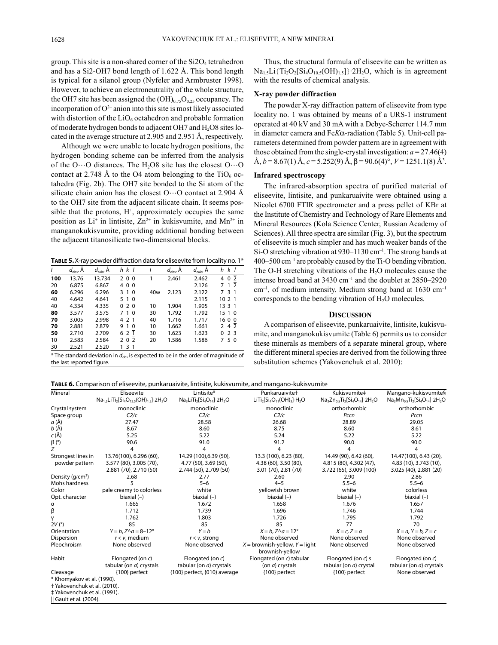group. This site is a non-shared corner of the  $Si2O_4$  tetrahedron and has a Si2-OH7 bond length of 1.622 Å. This bond length is typical for a silanol group (Nyfeler and Armbruster 1998). However, to achieve an electroneutrality of the whole structure, the OH7 site has been assigned the  $(OH)_{0.75}O_{0.25}$  occupancy. The incorporation of  $O^{2-}$  anion into this site is most likely associated with distortion of the  $LiO<sub>6</sub>$  octahedron and probable formation of moderate hydrogen bonds to adjacent OH7 and  $H<sub>2</sub>O8$  sites located in the average structure at 2.905 and 2.951 Å, respectively.

Although we were unable to locate hydrogen positions, the hydrogen bonding scheme can be inferred from the analysis of the O…O distances. The H<sub>2</sub>O8 site has the closest O…O contact at 2.748 Å to the O4 atom belonging to the  $TiO<sub>6</sub>$  octahedra (Fig. 2b). The OH7 site bonded to the Si atom of the silicate chain anion has the closest  $O \cdots O$  contact at 2.904 Å to the OH7 site from the adjacent silicate chain. It seems possible that the protons,  $H^*$ , approximately occupies the same position as  $Li^+$  in lintisite,  $Zn^{2+}$  in kukisvumite, and  $Mn^{2+}$  in manganokukisvumite, providing additional bonding between the adjacent titanosilicate two-dimensional blocks.

**Table 5.**X-ray powder diffraction data for eliseevite from locality no. 1\*

|     | $d_{\rm obs}$ , $\rm \AA$ | $d_{\text{calc}}$ Å | h k l                         |     | $d_{\text{obs}}$ , A | $d_{calc}$ A | k l<br>h             |
|-----|---------------------------|---------------------|-------------------------------|-----|----------------------|--------------|----------------------|
| 100 | 13.76                     | 13.734              | 200                           |     | 2.461                | 2.462        | 0 <sub>2</sub><br>4  |
| 20  | 6.875                     | 6.867               | 400                           |     |                      | 2.126        | 1 <sub>2</sub><br>7  |
| 60  | 6.296                     | 6.296               | 3 1 0                         | 40w | 2.123                | 2.122        | 31<br>7              |
| 40  | 4.642                     | 4.641               | 5 1 0                         |     |                      | 2.115        | 10 2 1               |
| 40  | 4.334                     | 4.335               | 020                           | 10  | 1.904                | 1.905        | 1331                 |
| 80  | 3.577                     | 3.575               | 7 1 0                         | 30  | 1.792                | 1.792        | 1510                 |
| 70  | 3.005                     | 2.998               | 4 2 1                         | 40  | 1.716                | 1.717        | 1600                 |
| 70  | 2.881                     | 2.879               | 9<br>$\mathbf{1}$<br>$\Omega$ | 10  | 1.662                | 1.661        | 4 2<br>$\mathcal{P}$ |
| 50  | 2.710                     | 2.709               | 6 2 1                         | 30  | 1.623                | 1.623        | 23<br>0              |
| 10  | 2.583                     | 2.584               | 202                           | 20  | 1.586                | 1.586        | 50<br>7              |
| 30  | 2.521                     | 2.520               | 3 1<br>1                      |     |                      |              |                      |

\* The standard deviation in *d*obs is expected to be in the order of magnitude of the last reported figure.

Thus, the structural formula of eliseevite can be written as  $Na<sub>1.5</sub>Li{Ti<sub>2</sub>O<sub>2</sub>[Si<sub>4</sub>O<sub>10.5</sub>(OH)<sub>1.5</sub>]}⋅2H<sub>2</sub>O$ , which is in agreement with the results of chemical analysis.

## **X‑ray powder diffraction**

The powder X-ray diffraction pattern of eliseevite from type locality no. 1 was obtained by means of a URS-1 instrument operated at 40 kV and 30 mA with a Debye-Scherrer 114.7 mm in diameter camera and Fe*K*α-radiation (Table 5). Unit-cell parameters determined from powder pattern are in agreement with those obtained from the single-crystal investigation:  $a = 27.46(4)$  $\mathring{A}, b = 8.67(1) \mathring{A}, c = 5.252(9) \mathring{A}, \beta = 90.6(4)^\circ, V = 1251.1(8) \mathring{A}^3$ .

# **Infrared spectroscopy**

The infrared-absorption spectra of purified material of eliseevite, lintisite, and punkaruaivite were obtained using a Nicolet 6700 FTIR spectrometer and a press pellet of KBr at the Institute of Chemistry and Technology of Rare Elements and Mineral Resources (Kola Science Center, Russian Academy of Sciences). All three spectra are similar (Fig. 3), but the spectrum of eliseevite is much simpler and has much weaker bands of the Si-O stretching vibration at 930–1130 cm<sup>-1</sup>. The strong bands at 400–500 cm–1 are probably caused by the Ti-O bending vibration. The O-H stretching vibrations of the H<sub>2</sub>O molecules cause the intense broad band at 3430 cm–1 and the doublet at 2850–2920 cm–1, of medium intensity. Medium strong band at 1630 cm–1 corresponds to the bending vibration of  $H_2O$  molecules.

# **DiScuSSioN**

A comparison of eliseevite, punkaruaivite, lintisite, kukisvumite, and manganokukisvumite (Table 6) permits us to consider these minerals as members of a separate mineral group, where the different mineral species are derived from the following three substitution schemes (Yakovenchuk et al. 2010):

**Table 6.** Comparison of eliseevite, punkaruaivite, lintisite, kukisvumite, and mangano-kukisvumite

| Mineral            | Eliseevite                                                                                           | Lintisite*                       | Punkaruaivite <sup>+</sup>                            | Kukisvumite‡                            | Mangano-kukisvumite§            |
|--------------------|------------------------------------------------------------------------------------------------------|----------------------------------|-------------------------------------------------------|-----------------------------------------|---------------------------------|
|                    | $\text{Na}_{1.5}\text{Li}Ti_2\text{[Si}_4\text{O}_{12.5}\text{(OH)}_{1.5}\text{]}$ 2H <sub>2</sub> O | $Na3LiTi2[Si4O14]·2H2O$          | $LiTi2[Si4O11(OH)3]·H2O$                              | $Na3Zn0.5Ti2[Si4O14]$ 2H <sub>2</sub> O | $Na3Mn0.5Ti2[Si4O14]\cdot 2H2O$ |
| Crystal system     | monoclinic                                                                                           | monoclinic                       | monoclinic                                            | orthorhombic                            | orthorhombic                    |
| Space group        | C2/c                                                                                                 | C2/c                             | C2/c                                                  | Pccn                                    | Pccn                            |
| a(A)               | 27.47                                                                                                | 28.58                            | 26.68                                                 | 28.89                                   | 29.05                           |
| $b(\AA)$           | 8.67                                                                                                 | 8.60                             | 8.75                                                  | 8.60                                    | 8.61                            |
| c (Å)              | 5.25                                                                                                 | 5.22                             | 5.24                                                  | 5.22                                    | 5.22                            |
| $\beta$ (°)        | 90.6                                                                                                 | 91.0                             | 91.2                                                  | 90.0                                    | 90.0                            |
| Ζ                  |                                                                                                      |                                  |                                                       | 4                                       |                                 |
| Strongest lines in | 13.76(100), 6.296 (60),                                                                              | 14.29 (100), 6.39 (50),          | 13.3 (100), 6.23 (80),                                | 14.49 (90), 6.42 (60),                  | 14.47(100), 6.43 (20),          |
| powder pattern     | 3.577 (80), 3.005 (70),                                                                              | 4.77 (50), 3.69 (50),            | 4.38 (60), 3.50 (80),                                 | 4.815 (80), 4.302 (47),                 | 4.83 (10), 3.743 (10),          |
|                    | 2.881 (70), 2.710 (50)                                                                               | 2.744 (50), 2.709 (50)           | 3.01 (70), 2.81 (70)                                  | 3.722 (65), 3.009 (100)                 | 3.025 (40), 2.881 (20)          |
| Density $(q/cm3)$  | 2.68                                                                                                 | 2.77                             | 2.60                                                  | 2.90                                    | 2.86                            |
| Mohs hardness      | 5                                                                                                    | $5 - 6$                          | $4 - 5$                                               | $5.5 - 6$                               | $5.5 - 6$                       |
| Color              | pale creamy to colorless                                                                             | white                            | yellowish brown                                       | white                                   | colorless                       |
| Opt. character     | biaxial $(-)$                                                                                        | biaxial $(-)$                    | biaxial $(-)$                                         | biaxial $(-)$                           | biaxial $(-)$                   |
| α                  | 1.665                                                                                                | 1.672                            | 1.658                                                 | 1.676                                   | 1.657                           |
| β                  | 1.712                                                                                                | 1.739                            | 1.696                                                 | 1.746                                   | 1.744                           |
|                    | 1.762                                                                                                | 1.803                            | 1.726                                                 | 1.795                                   | 1.792                           |
| 2V(°)              | 85                                                                                                   | 85                               | 85                                                    | 77                                      | 70                              |
| Orientation        | $Y = b$ , $Z \wedge a = 8 - 12^{\circ}$                                                              | $Y = b$                          | $X = b$ , $Z \wedge a = 12^{\circ}$                   | $X = c, Z = a$                          | $X = a, Y = b, Z = c$           |
| Dispersion         | $r < v$ , medium                                                                                     | $r < v$ , strong                 | None observed                                         | None observed                           | None observed                   |
| Pleochroism        | None observed                                                                                        | None observed                    | $X =$ brownish-yellow, $Y =$ light<br>brownish-yellow | None observed                           | None observed                   |
| Habit              | Elongated (on c)                                                                                     | Elongated (on c)                 | Elongated (on c) tabular                              | Elongated (on $c$ ) s                   | Elongated (on c)                |
|                    | tabular (on a) crystals                                                                              | tabular (on a) crystals          | (on $a$ ) crystals                                    | tabular (on a) crystal                  | tabular (on a) crystals         |
| Cleavage           | {100} perfect                                                                                        | ${100}$ perfect, ${010}$ average | ${100}$ perfect                                       | ${100}$ perfect                         | None observed                   |

‡ Yakovenchuk et al. (1991).

|| Gault et al. (2004).